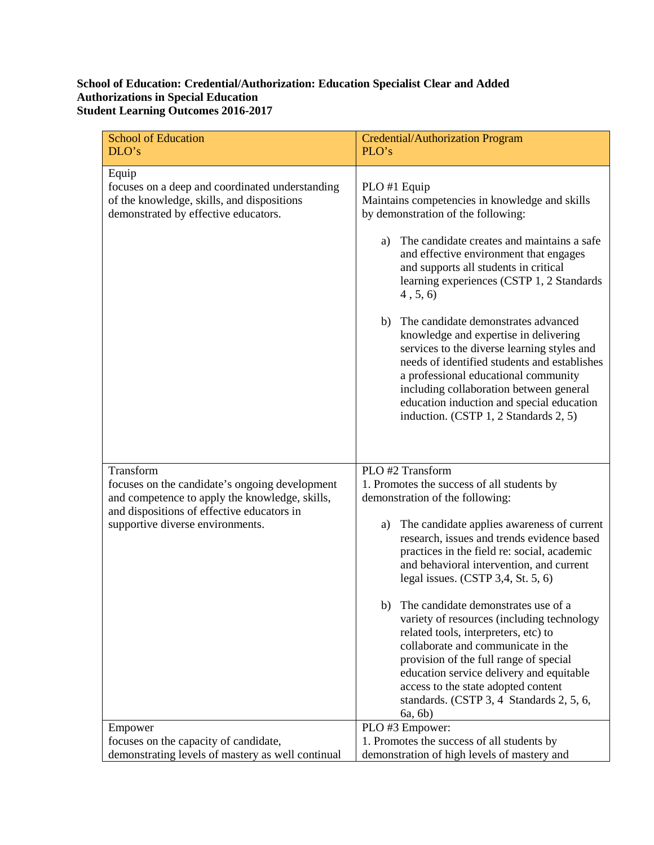## **School of Education: Credential/Authorization: Education Specialist Clear and Added Authorizations in Special Education Student Learning Outcomes 2016-2017**

| <b>School of Education</b><br>DLO's                                                                                                            | Credential/Authorization Program<br>PLO's                                                                                                                                                                                                                                                                                                                             |
|------------------------------------------------------------------------------------------------------------------------------------------------|-----------------------------------------------------------------------------------------------------------------------------------------------------------------------------------------------------------------------------------------------------------------------------------------------------------------------------------------------------------------------|
| Equip<br>focuses on a deep and coordinated understanding<br>of the knowledge, skills, and dispositions<br>demonstrated by effective educators. | PLO #1 Equip<br>Maintains competencies in knowledge and skills<br>by demonstration of the following:<br>The candidate creates and maintains a safe<br>a)<br>and effective environment that engages<br>and supports all students in critical<br>learning experiences (CSTP 1, 2 Standards                                                                              |
|                                                                                                                                                | 4, 5, 6<br>The candidate demonstrates advanced<br>b)<br>knowledge and expertise in delivering<br>services to the diverse learning styles and<br>needs of identified students and establishes<br>a professional educational community<br>including collaboration between general<br>education induction and special education<br>induction. (CSTP 1, 2 Standards 2, 5) |
| Transform                                                                                                                                      | PLO #2 Transform                                                                                                                                                                                                                                                                                                                                                      |
| focuses on the candidate's ongoing development<br>and competence to apply the knowledge, skills,                                               | 1. Promotes the success of all students by<br>demonstration of the following:                                                                                                                                                                                                                                                                                         |
| and dispositions of effective educators in<br>supportive diverse environments.                                                                 | The candidate applies awareness of current<br>a)<br>research, issues and trends evidence based<br>practices in the field re: social, academic<br>and behavioral intervention, and current<br>legal issues. $(CSTP 3, 4, St. 5, 6)$                                                                                                                                    |
|                                                                                                                                                | b) The candidate demonstrates use of a<br>variety of resources (including technology<br>related tools, interpreters, etc) to<br>collaborate and communicate in the<br>provision of the full range of special<br>education service delivery and equitable<br>access to the state adopted content<br>standards. (CSTP 3, 4 Standards 2, 5, 6,<br>6a, 6b)                |
| Empower                                                                                                                                        | PLO #3 Empower:                                                                                                                                                                                                                                                                                                                                                       |
| focuses on the capacity of candidate,                                                                                                          | 1. Promotes the success of all students by                                                                                                                                                                                                                                                                                                                            |
| demonstrating levels of mastery as well continual                                                                                              | demonstration of high levels of mastery and                                                                                                                                                                                                                                                                                                                           |